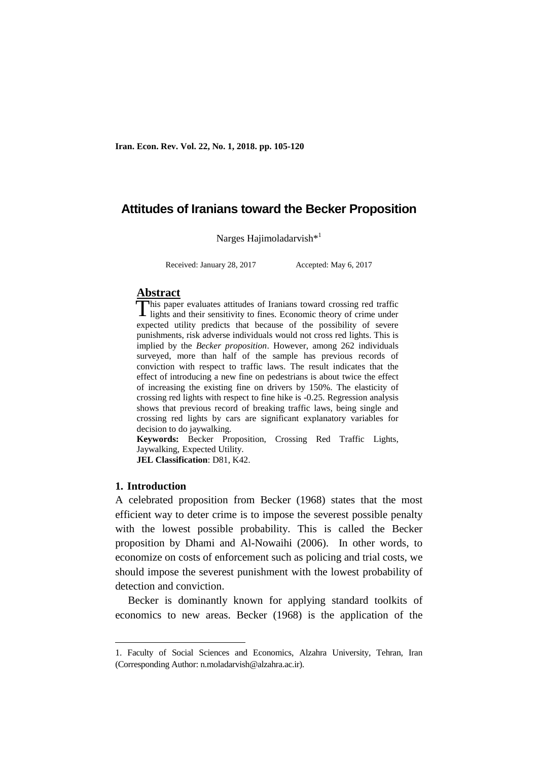**Iran. Econ. Rev. Vol. 22, No. 1, 2018. pp. 105-120**

# **Attitudes of Iranians toward the Becker Proposition**

Narges Hajimoladarvish<sup>\*1</sup>

Received: January 28, 2017 Accepted: May 6, 2017

# **Abstract**

his paper evaluates attitudes of Iranians toward crossing red traffic This paper evaluates attitudes of Iranians toward crossing red traffic<br>lights and their sensitivity to fines. Economic theory of crime under expected utility predicts that because of the possibility of severe punishments, risk adverse individuals would not cross red lights. This is implied by the *Becker proposition*. However, among 262 individuals surveyed, more than half of the sample has previous records of conviction with respect to traffic laws. The result indicates that the effect of introducing a new fine on pedestrians is about twice the effect of increasing the existing fine on drivers by 150%. The elasticity of crossing red lights with respect to fine hike is -0.25. Regression analysis shows that previous record of breaking traffic laws, being single and crossing red lights by cars are significant explanatory variables for decision to do jaywalking.

**Keywords:** Becker Proposition, Crossing Red Traffic Lights, Jaywalking, Expected Utility. **JEL Classification**: D81, K42.

### **1. Introduction**

1

A celebrated proposition from Becker (1968) states that the most efficient way to deter crime is to impose the severest possible penalty with the lowest possible probability. This is called the Becker proposition by Dhami and Al-Nowaihi (2006). In other words, to economize on costs of enforcement such as policing and trial costs, we should impose the severest punishment with the lowest probability of detection and conviction.

Becker is dominantly known for applying standard toolkits of economics to new areas. Becker (1968) is the application of the

<sup>1.</sup> Faculty of Social Sciences and Economics, Alzahra University, Tehran, Iran (Corresponding Author: n.moladarvish@alzahra.ac.ir).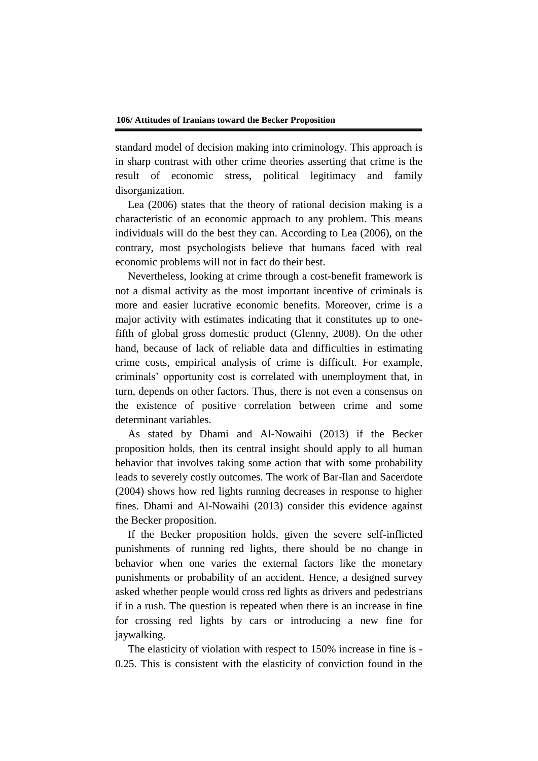standard model of decision making into criminology. This approach is in sharp contrast with other crime theories asserting that crime is the result of economic stress, political legitimacy and family disorganization.

Lea (2006) states that the theory of rational decision making is a characteristic of an economic approach to any problem. This means individuals will do the best they can. According to Lea (2006), on the contrary, most psychologists believe that humans faced with real economic problems will not in fact do their best.

Nevertheless, looking at crime through a cost-benefit framework is not a dismal activity as the most important incentive of criminals is more and easier lucrative economic benefits. Moreover, crime is a major activity with estimates indicating that it constitutes up to onefifth of global gross domestic product (Glenny, 2008). On the other hand, because of lack of reliable data and difficulties in estimating crime costs, empirical analysis of crime is difficult. For example, criminals' opportunity cost is correlated with unemployment that, in turn, depends on other factors. Thus, there is not even a consensus on the existence of positive correlation between crime and some determinant variables.

As stated by Dhami and Al-Nowaihi (2013) if the Becker proposition holds, then its central insight should apply to all human behavior that involves taking some action that with some probability leads to severely costly outcomes. The work of Bar-Ilan and Sacerdote (2004) shows how red lights running decreases in response to higher fines. Dhami and Al-Nowaihi (2013) consider this evidence against the Becker proposition.

If the Becker proposition holds, given the severe self-inflicted punishments of running red lights, there should be no change in behavior when one varies the external factors like the monetary punishments or probability of an accident. Hence, a designed survey asked whether people would cross red lights as drivers and pedestrians if in a rush. The question is repeated when there is an increase in fine for crossing red lights by cars or introducing a new fine for jaywalking.

The elasticity of violation with respect to 150% increase in fine is - 0.25. This is consistent with the elasticity of conviction found in the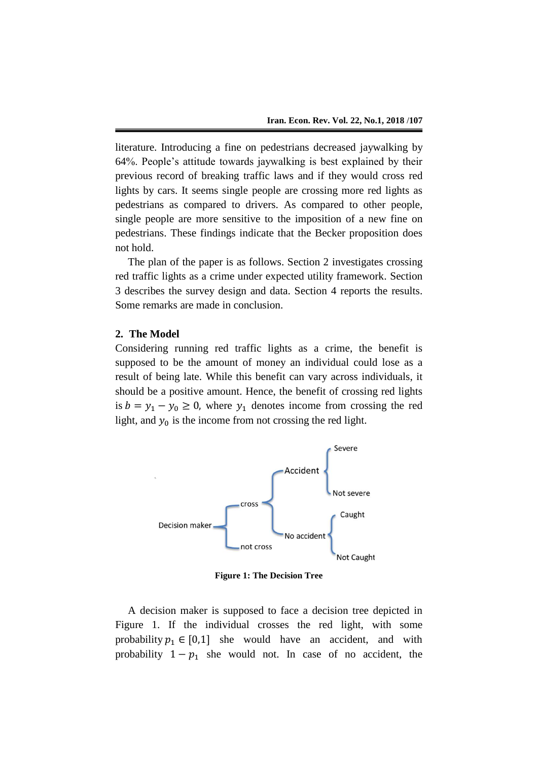literature. Introducing a fine on pedestrians decreased jaywalking by 64%. People's attitude towards jaywalking is best explained by their previous record of breaking traffic laws and if they would cross red lights by cars. It seems single people are crossing more red lights as pedestrians as compared to drivers. As compared to other people, single people are more sensitive to the imposition of a new fine on pedestrians. These findings indicate that the Becker proposition does not hold.

The plan of the paper is as follows. Section 2 investigates crossing red traffic lights as a crime under expected utility framework. Section 3 describes the survey design and data. Section 4 reports the results. Some remarks are made in conclusion.

## **2. The Model**

Considering running red traffic lights as a crime, the benefit is supposed to be the amount of money an individual could lose as a result of being late. While this benefit can vary across individuals, it should be a positive amount. Hence, the benefit of crossing red lights is  $b = y_1 - y_0 \ge 0$ , where  $y_1$  denotes income from crossing the red light, and  $y_0$  is the income from not crossing the red light.



**Figure 1: The Decision Tree**

A decision maker is supposed to face a decision tree depicted in Figure 1. If the individual crosses the red light, with some probability  $p_1 \in [0,1]$  she would have an accident, and with probability  $1 - p_1$  she would not. In case of no accident, the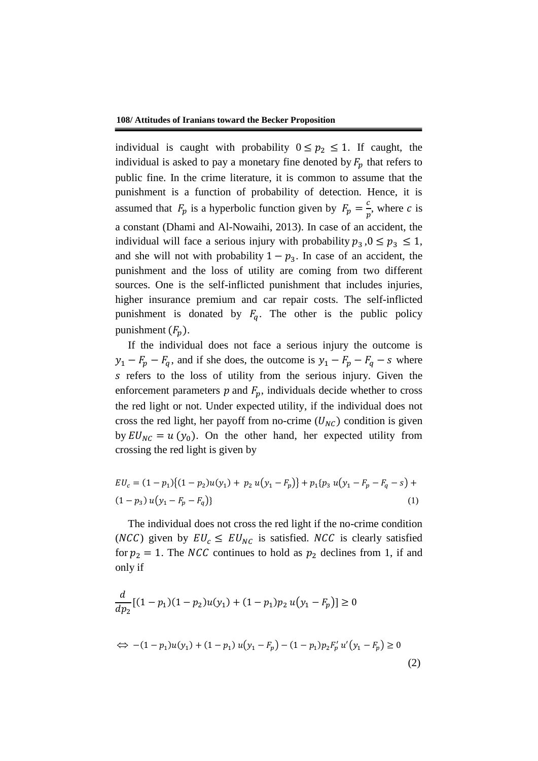individual is caught with probability  $0 \leq p_2 \leq 1$ . If caught, the individual is asked to pay a monetary fine denoted by  $F_p$  that refers to public fine. In the crime literature, it is common to assume that the punishment is a function of probability of detection. Hence, it is assumed that  $F_p$  is a hyperbolic function given by  $F_p = \frac{c}{n}$  $\frac{c}{p}$ , where *c* is a constant (Dhami and Al-Nowaihi, 2013). In case of an accident, the individual will face a serious injury with probability  $p_3$ ,  $0 \le p_3 \le 1$ , and she will not with probability  $1 - p_3$ . In case of an accident, the punishment and the loss of utility are coming from two different sources. One is the self-inflicted punishment that includes injuries, higher insurance premium and car repair costs. The self-inflicted punishment is donated by  $F_q$ . The other is the public policy punishment  $(F_p)$ .

If the individual does not face a serious injury the outcome is  $y_1 - F_p - F_q$ , and if she does, the outcome is  $y_1 - F_p - F_q - s$  where s refers to the loss of utility from the serious injury. Given the enforcement parameters  $p$  and  $F_p$ , individuals decide whether to cross the red light or not. Under expected utility, if the individual does not cross the red light, her payoff from no-crime  $(U_{NC})$  condition is given by  $EU_{NC} = u(y_0)$ . On the other hand, her expected utility from crossing the red light is given by

$$
EU_c = (1 - p_1)\{(1 - p_2)u(y_1) + p_2 u(y_1 - F_p)\} + p_1\{p_3 u(y_1 - F_p - F_q - s) + (1 - p_3) u(y_1 - F_p - F_q)\}\
$$
\n(1)

The individual does not cross the red light if the no-crime condition (NCC) given by  $EU_c \leq EU_{NC}$  is satisfied. NCC is clearly satisfied for  $p_2 = 1$ . The *NCC* continues to hold as  $p_2$  declines from 1, if and only if

$$
\frac{d}{dp_2}[(1-p_1)(1-p_2)u(y_1) + (1-p_1)p_2 u(y_1 - F_p)] \ge 0
$$
\n
$$
\Leftrightarrow -(1-p_1)u(y_1) + (1-p_1) u(y_1 - F_p) - (1-p_1)p_2 F'_p u'(y_1 - F_p) \ge 0
$$
\n(2)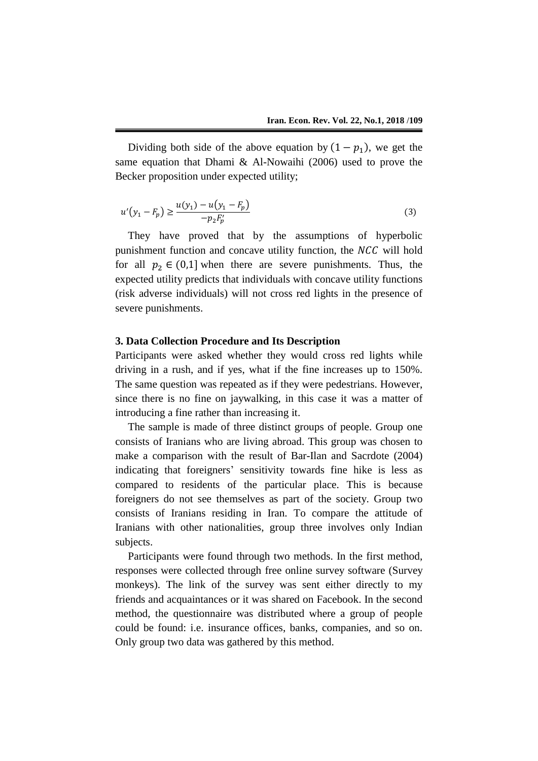Dividing both side of the above equation by  $(1 - p_1)$ , we get the same equation that Dhami & Al-Nowaihi (2006) used to prove the Becker proposition under expected utility;

$$
u'(y_1 - F_p) \ge \frac{u(y_1) - u(y_1 - F_p)}{-p_2 F_p'} \tag{3}
$$

They have proved that by the assumptions of hyperbolic punishment function and concave utility function, the NCC will hold for all  $p_2 \in (0,1]$  when there are severe punishments. Thus, the expected utility predicts that individuals with concave utility functions (risk adverse individuals) will not cross red lights in the presence of severe punishments.

## **3. Data Collection Procedure and Its Description**

Participants were asked whether they would cross red lights while driving in a rush, and if yes, what if the fine increases up to 150%. The same question was repeated as if they were pedestrians. However, since there is no fine on jaywalking, in this case it was a matter of introducing a fine rather than increasing it.

The sample is made of three distinct groups of people. Group one consists of Iranians who are living abroad. This group was chosen to make a comparison with the result of Bar-Ilan and Sacrdote (2004) indicating that foreigners' sensitivity towards fine hike is less as compared to residents of the particular place. This is because foreigners do not see themselves as part of the society. Group two consists of Iranians residing in Iran. To compare the attitude of Iranians with other nationalities, group three involves only Indian subjects.

Participants were found through two methods. In the first method, responses were collected through free online survey software (Survey monkeys). The link of the survey was sent either directly to my friends and acquaintances or it was shared on Facebook. In the second method, the questionnaire was distributed where a group of people could be found: i.e. insurance offices, banks, companies, and so on. Only group two data was gathered by this method.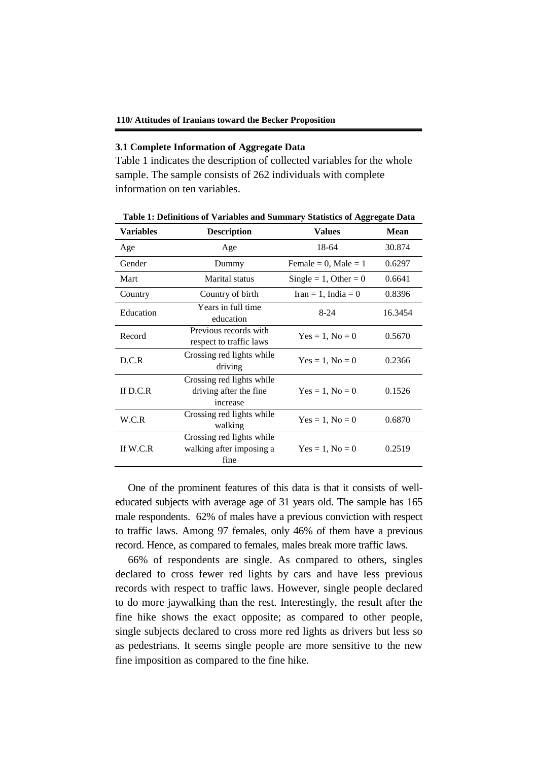#### **3.1 Complete Information of Aggregate Data**

Table 1 indicates the description of collected variables for the whole sample. The sample consists of 262 individuals with complete information on ten variables.

|                  |                                                                  | ****** *********         |             |
|------------------|------------------------------------------------------------------|--------------------------|-------------|
| <b>Variables</b> | <b>Description</b>                                               | <b>Values</b>            | <b>Mean</b> |
| Age              | Age                                                              | 18-64                    | 30.874      |
| Gender           | Dummy                                                            | Female = 0, Male = $1$   | 0.6297      |
| Mart             | Marital status                                                   | Single = $1$ , Other = 0 | 0.6641      |
| Country          | Country of birth                                                 | Iran = 1, India = $0$    | 0.8396      |
| Education        | Years in full time<br>education                                  | $8-24$                   | 16.3454     |
| Record           | Previous records with<br>respect to traffic laws                 | $Yes = 1, No = 0$        | 0.5670      |
| D.C.R            | Crossing red lights while<br>driving                             | $Yes = 1, No = 0$        | 0.2366      |
| If D.C.R         | Crossing red lights while<br>driving after the fine.<br>increase | $Yes = 1, No = 0$        | 0.1526      |
| W.C.R            | Crossing red lights while<br>walking                             | $Yes = 1, No = 0$        | 0.6870      |
| If $W.C.R$       | Crossing red lights while<br>walking after imposing a<br>fine    | $Yes = 1, No = 0$        | 0.2519      |

**Table 1: Definitions of Variables and Summary Statistics of Aggregate Data**

One of the prominent features of this data is that it consists of welleducated subjects with average age of 31 years old. The sample has 165 male respondents. 62% of males have a previous conviction with respect to traffic laws. Among 97 females, only 46% of them have a previous record. Hence, as compared to females, males break more traffic laws.

66% of respondents are single. As compared to others, singles declared to cross fewer red lights by cars and have less previous records with respect to traffic laws. However, single people declared to do more jaywalking than the rest. Interestingly, the result after the fine hike shows the exact opposite; as compared to other people, single subjects declared to cross more red lights as drivers but less so as pedestrians. It seems single people are more sensitive to the new fine imposition as compared to the fine hike.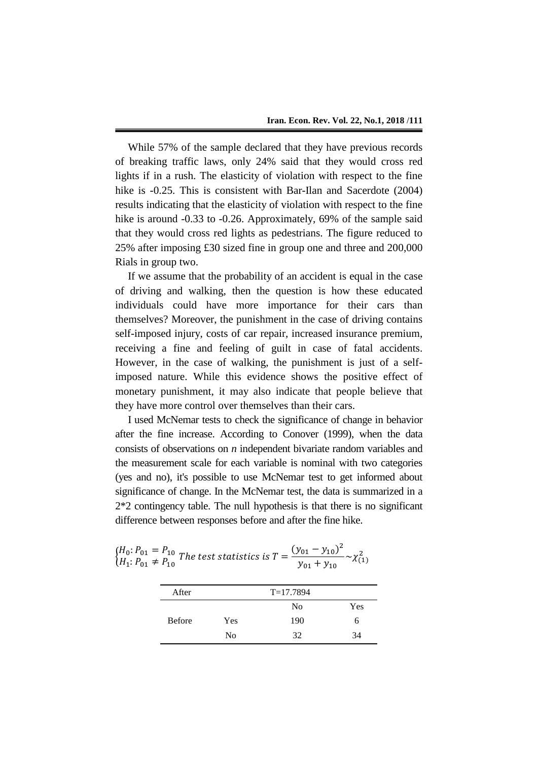While 57% of the sample declared that they have previous records of breaking traffic laws, only 24% said that they would cross red lights if in a rush. The elasticity of violation with respect to the fine hike is  $-0.25$ . This is consistent with Bar-Ilan and Sacerdote (2004) results indicating that the elasticity of violation with respect to the fine hike is around -0.33 to -0.26. Approximately, 69% of the sample said that they would cross red lights as pedestrians. The figure reduced to 25% after imposing £30 sized fine in group one and three and 200,000 Rials in group two.

If we assume that the probability of an accident is equal in the case of driving and walking, then the question is how these educated individuals could have more importance for their cars than themselves? Moreover, the punishment in the case of driving contains self-imposed injury, costs of car repair, increased insurance premium, receiving a fine and feeling of guilt in case of fatal accidents. However, in the case of walking, the punishment is just of a selfimposed nature. While this evidence shows the positive effect of monetary punishment, it may also indicate that people believe that they have more control over themselves than their cars.

I used McNemar tests to check the significance of change in behavior after the fine increase. According to Conover (1999), when the data consists of observations on *n* independent bivariate random variables and the measurement scale for each variable is nominal with two categories (yes and no), it's possible to use McNemar test to get informed about significance of change. In the McNemar test, the data is summarized in a 2\*2 contingency table. The null hypothesis is that there is no significant difference between responses before and after the fine hike.

| $\begin{cases} H_0: P_{01} = P_{10} \\ H_1: P_{01} \neq P_{10} \end{cases}$ The test statistics is $T = \frac{(y_{01} - y_{10})^2}{y_{01} + y_{10}} \sim \chi^2_{(1)}$ |  |                   |  |
|------------------------------------------------------------------------------------------------------------------------------------------------------------------------|--|-------------------|--|
|                                                                                                                                                                        |  | $y_{01} + y_{10}$ |  |

| After         |     | $T=17.7894$    |     |
|---------------|-----|----------------|-----|
|               |     | N <sub>0</sub> | Yes |
| <b>Before</b> | Yes | 190            | O   |
|               | No  | 32             | 34  |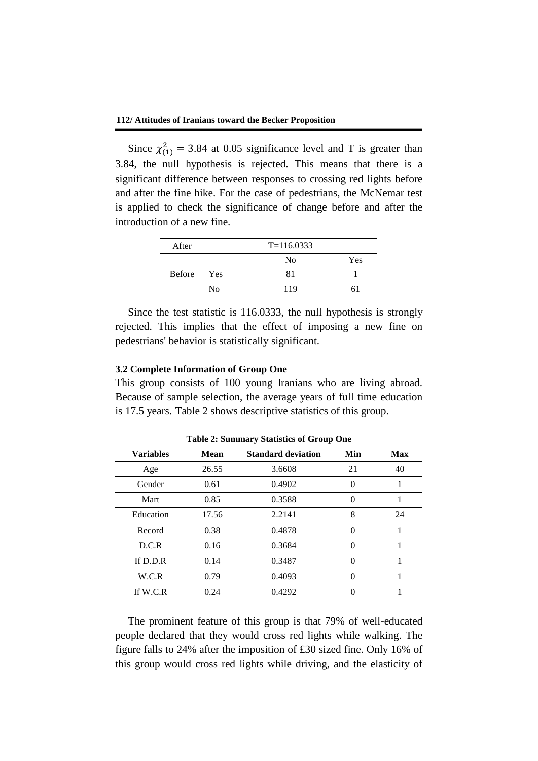Since  $\chi^2_{(1)} = 3.84$  at 0.05 significance level and T is greater than 3.84, the null hypothesis is rejected. This means that there is a significant difference between responses to crossing red lights before and after the fine hike. For the case of pedestrians, the McNemar test is applied to check the significance of change before and after the introduction of a new fine.

| After         | $T = 116.0333$ |                |     |  |  |
|---------------|----------------|----------------|-----|--|--|
|               |                | N <sub>0</sub> | Yes |  |  |
| <b>Before</b> | Yes            | 81             |     |  |  |
|               | N <sub>0</sub> | 119            | 61  |  |  |

Since the test statistic is 116.0333, the null hypothesis is strongly rejected. This implies that the effect of imposing a new fine on pedestrians' behavior is statistically significant.

#### **3.2 Complete Information of Group One**

This group consists of 100 young Iranians who are living abroad. Because of sample selection, the average years of full time education is 17.5 years. Table 2 shows descriptive statistics of this group.

| Lable 2. Summary Statistics of Group One |             |                           |     |            |  |  |
|------------------------------------------|-------------|---------------------------|-----|------------|--|--|
| <b>Variables</b>                         | <b>Mean</b> | <b>Standard deviation</b> | Min | <b>Max</b> |  |  |
| Age                                      | 26.55       | 3.6608                    | 21  | 40         |  |  |
| Gender                                   | 0.61        | 0.4902                    | 0   |            |  |  |
| Mart                                     | 0.85        | 0.3588                    | 0   | 1          |  |  |
| Education                                | 17.56       | 2.2141                    | 8   | 24         |  |  |
| Record                                   | 0.38        | 0.4878                    | 0   |            |  |  |
| D.C.R                                    | 0.16        | 0.3684                    | 0   | 1          |  |  |
| If $D.D.R$                               | 0.14        | 0.3487                    | 0   |            |  |  |
| W.C.R                                    | 0.79        | 0.4093                    |     | 1          |  |  |
| If W.C.R                                 | 0.24        | 0.4292                    |     |            |  |  |

**Table 2: Summary Statistics of Group One**

The prominent feature of this group is that 79% of well-educated people declared that they would cross red lights while walking. The figure falls to 24% after the imposition of £30 sized fine. Only 16% of this group would cross red lights while driving, and the elasticity of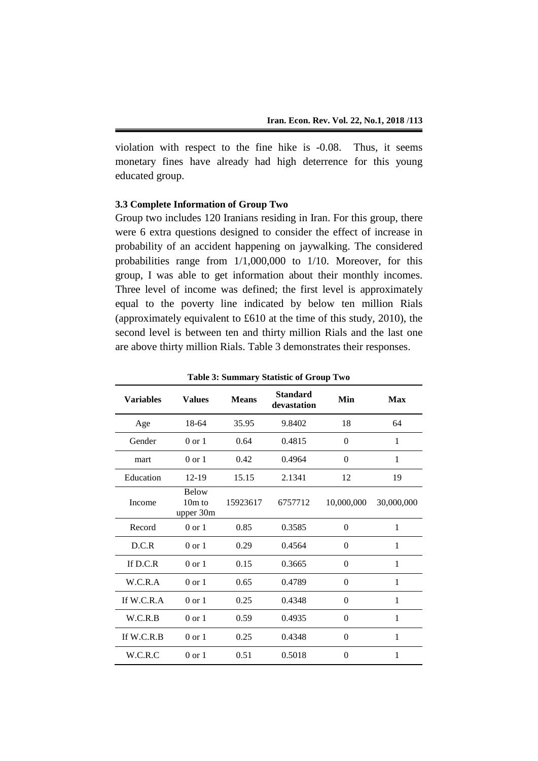violation with respect to the fine hike is -0.08. Thus, it seems monetary fines have already had high deterrence for this young educated group.

## **3.3 Complete Information of Group Two**

Group two includes 120 Iranians residing in Iran. For this group, there were 6 extra questions designed to consider the effect of increase in probability of an accident happening on jaywalking. The considered probabilities range from 1/1,000,000 to 1/10. Moreover, for this group, I was able to get information about their monthly incomes. Three level of income was defined; the first level is approximately equal to the poverty line indicated by below ten million Rials (approximately equivalent to £610 at the time of this study, 2010), the second level is between ten and thirty million Rials and the last one are above thirty million Rials. Table 3 demonstrates their responses.

| <b>Variables</b> | <b>Values</b>                         | <b>Means</b> | <b>Standard</b><br>devastation | Min            | Max        |
|------------------|---------------------------------------|--------------|--------------------------------|----------------|------------|
| Age              | 18-64                                 | 35.95        | 9.8402                         | 18             | 64         |
| Gender           | $0 \text{ or } 1$                     | 0.64         | 0.4815                         | $\theta$       | 1          |
| mart             | $0 \text{ or } 1$                     | 0.42         | 0.4964                         | $\theta$       | 1          |
| Education        | $12 - 19$                             | 15.15        | 2.1341                         | 12             | 19         |
| Income           | <b>Below</b><br>$10m$ to<br>upper 30m | 15923617     | 6757712                        | 10,000,000     | 30,000,000 |
| Record           | $0 \text{ or } 1$                     | 0.85         | 0.3585                         | $\theta$       | 1          |
| D.C.R            | $0 \text{ or } 1$                     | 0.29         | 0.4564                         | $\theta$       | 1          |
| If $D.C.R$       | $0 \text{ or } 1$                     | 0.15         | 0.3665                         | $\theta$       | 1          |
| W.C.R.A          | $0 \text{ or } 1$                     | 0.65         | 0.4789                         | $\theta$       | 1          |
| If $W.C.R.A$     | $0 \text{ or } 1$                     | 0.25         | 0.4348                         | $\theta$       | 1          |
| W.C.R.B          | $0 \text{ or } 1$                     | 0.59         | 0.4935                         | $\theta$       | 1          |
| If $W.C.R.B$     | $0 \text{ or } 1$                     | 0.25         | 0.4348                         | $\overline{0}$ | 1          |
| W.C.R.C          | $0 \text{ or } 1$                     | 0.51         | 0.5018                         | $\theta$       | 1          |

**Table 3: Summary Statistic of Group Two**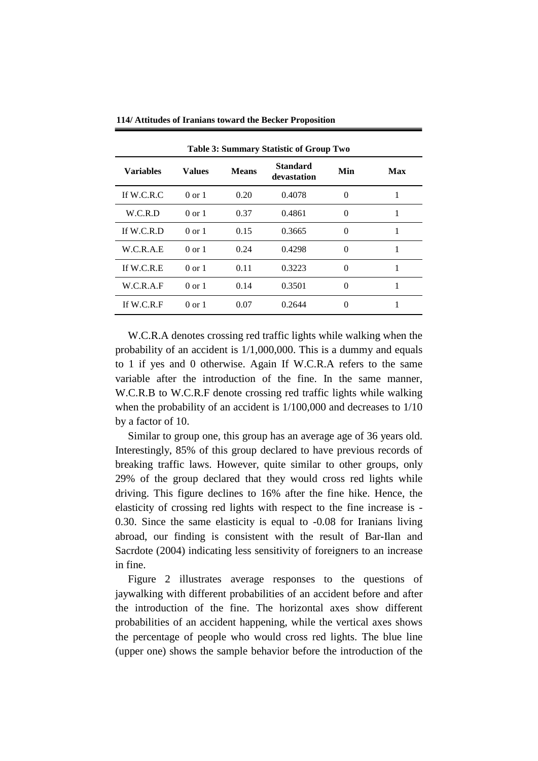| <b>Table 3: Summary Statistic of Group Two</b> |                   |              |                                |          |     |  |
|------------------------------------------------|-------------------|--------------|--------------------------------|----------|-----|--|
| <b>Variables</b>                               | Values            | <b>Means</b> | <b>Standard</b><br>devastation | Min      | Max |  |
| If W.C.R.C                                     | $0 \text{ or } 1$ | 0.20         | 0.4078                         | 0        |     |  |
| W.C.R.D                                        | 0 or 1            | 0.37         | 0.4861                         | $\Omega$ | 1   |  |
| If $W.C.R.D$                                   | $0 \text{ or } 1$ | 0.15         | 0.3665                         | $\Omega$ |     |  |
| W.C.R.A.E                                      | $0 \text{ or } 1$ | 0.24         | 0.4298                         | 0        |     |  |
| If $W.C.R.E$                                   | $0 \text{ or } 1$ | 0.11         | 0.3223                         | 0        |     |  |
| W.C.R.A.F                                      | $0 \text{ or } 1$ | 0.14         | 0.3501                         | 0        | 1   |  |
| If W.C.R.F                                     | $0 \text{ or } 1$ | 0.07         | 0.2644                         | 0        |     |  |

**114/ Attitudes of Iranians toward the Becker Proposition**

W.C.R.A denotes crossing red traffic lights while walking when the probability of an accident is 1/1,000,000. This is a dummy and equals to 1 if yes and 0 otherwise. Again If W.C.R.A refers to the same variable after the introduction of the fine. In the same manner, W.C.R.B to W.C.R.F denote crossing red traffic lights while walking when the probability of an accident is 1/100,000 and decreases to 1/10 by a factor of 10.

Similar to group one, this group has an average age of 36 years old. Interestingly, 85% of this group declared to have previous records of breaking traffic laws. However, quite similar to other groups, only 29% of the group declared that they would cross red lights while driving. This figure declines to 16% after the fine hike. Hence, the elasticity of crossing red lights with respect to the fine increase is - 0.30. Since the same elasticity is equal to -0.08 for Iranians living abroad, our finding is consistent with the result of Bar-Ilan and Sacrdote (2004) indicating less sensitivity of foreigners to an increase in fine.

Figure 2 illustrates average responses to the questions of jaywalking with different probabilities of an accident before and after the introduction of the fine. The horizontal axes show different probabilities of an accident happening, while the vertical axes shows the percentage of people who would cross red lights. The blue line (upper one) shows the sample behavior before the introduction of the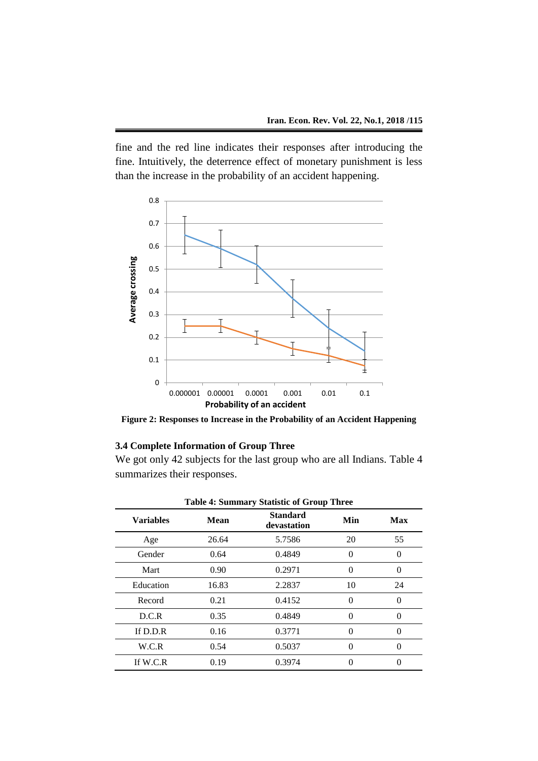fine and the red line indicates their responses after introducing the fine. Intuitively, the deterrence effect of monetary punishment is less than the increase in the probability of an accident happening.



**Figure 2: Responses to Increase in the Probability of an Accident Happening**

## **3.4 Complete Information of Group Three**

We got only 42 subjects for the last group who are all Indians. Table 4 summarizes their responses.

| Tubic - Summary Baandic or Group Timec |             |                                |          |            |  |
|----------------------------------------|-------------|--------------------------------|----------|------------|--|
| <b>Variables</b>                       | <b>Mean</b> | <b>Standard</b><br>devastation | Min      | <b>Max</b> |  |
| Age                                    | 26.64       | 5.7586                         | 20       | 55         |  |
| Gender                                 | 0.64        | 0.4849                         | $\Omega$ | 0          |  |
| Mart                                   | 0.90        | 0.2971                         | $\theta$ | 0          |  |
| Education                              | 16.83       | 2.2837                         | 10       | 24         |  |
| Record                                 | 0.21        | 0.4152                         | 0        | 0          |  |
| D.C.R                                  | 0.35        | 0.4849                         | 0        | 0          |  |
| If $D.D.R$                             | 0.16        | 0.3771                         | 0        | 0          |  |
| W.C.R                                  | 0.54        | 0.5037                         | $\Omega$ | 0          |  |
| If $W.C.R$                             | 0.19        | 0.3974                         | 0        |            |  |

|  |  |  | Table 4: Summary Statistic of Group Three |  |  |
|--|--|--|-------------------------------------------|--|--|
|--|--|--|-------------------------------------------|--|--|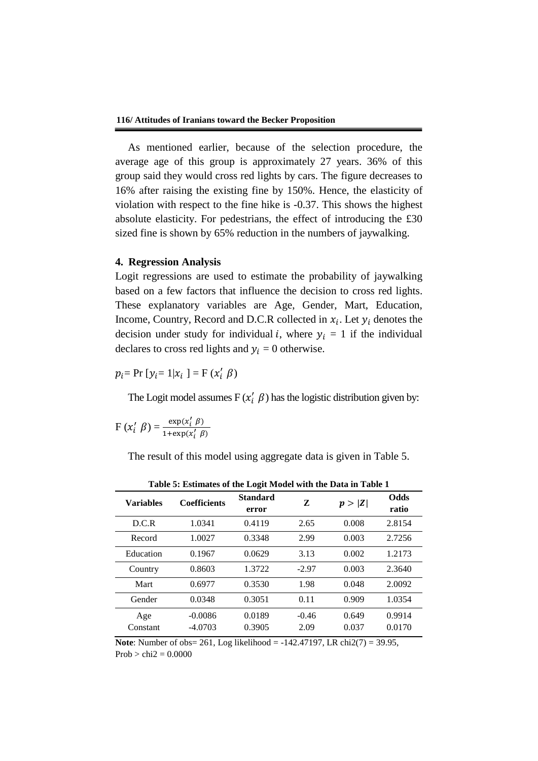As mentioned earlier, because of the selection procedure, the average age of this group is approximately 27 years. 36% of this group said they would cross red lights by cars. The figure decreases to 16% after raising the existing fine by 150%. Hence, the elasticity of violation with respect to the fine hike is -0.37. This shows the highest absolute elasticity. For pedestrians, the effect of introducing the £30 sized fine is shown by 65% reduction in the numbers of jaywalking.

## **4. Regression Analysis**

Logit regressions are used to estimate the probability of jaywalking based on a few factors that influence the decision to cross red lights. These explanatory variables are Age, Gender, Mart, Education, Income, Country, Record and D.C.R collected in  $x_i$ . Let  $y_i$  denotes the decision under study for individual *i*, where  $y_i = 1$  if the individual declares to cross red lights and  $y_i = 0$  otherwise.

 $p_i = Pr [y_i = 1 | x_i] = F (x'_i \beta)$ 

The Logit model assumes  $F(x_i' \beta)$  has the logistic distribution given by:

$$
F(x'_{i} \beta) = \frac{\exp(x'_{i} \beta)}{1 + \exp(x'_{i} \beta)}
$$

The result of this model using aggregate data is given in Table 5.

| Table 5: Estimates of the Logit Model with the Data in Table 1 |                     |                          |         |        |                      |  |
|----------------------------------------------------------------|---------------------|--------------------------|---------|--------|----------------------|--|
| <b>Variables</b>                                               | <b>Coefficients</b> | <b>Standard</b><br>error | Z       | p >  Z | <b>Odds</b><br>ratio |  |
| D.C.R                                                          | 1.0341              | 0.4119                   | 2.65    | 0.008  | 2.8154               |  |
| Record                                                         | 1.0027              | 0.3348                   | 2.99    | 0.003  | 2.7256               |  |
| Education                                                      | 0.1967              | 0.0629                   | 3.13    | 0.002  | 1.2173               |  |
| Country                                                        | 0.8603              | 1.3722                   | $-2.97$ | 0.003  | 2.3640               |  |
| Mart                                                           | 0.6977              | 0.3530                   | 1.98    | 0.048  | 2.0092               |  |
| Gender                                                         | 0.0348              | 0.3051                   | 0.11    | 0.909  | 1.0354               |  |
| Age                                                            | $-0.0086$           | 0.0189                   | $-0.46$ | 0.649  | 0.9914               |  |
| Constant                                                       | $-4.0703$           | 0.3905                   | 2.09    | 0.037  | 0.0170               |  |

**Table 5: Estimates of the Logit Model with the Data in Table 1**

**Note**: Number of obs= 261, Log likelihood = -142.47197, LR chi2(7) = 39.95,  $Prob > chi2 = 0.0000$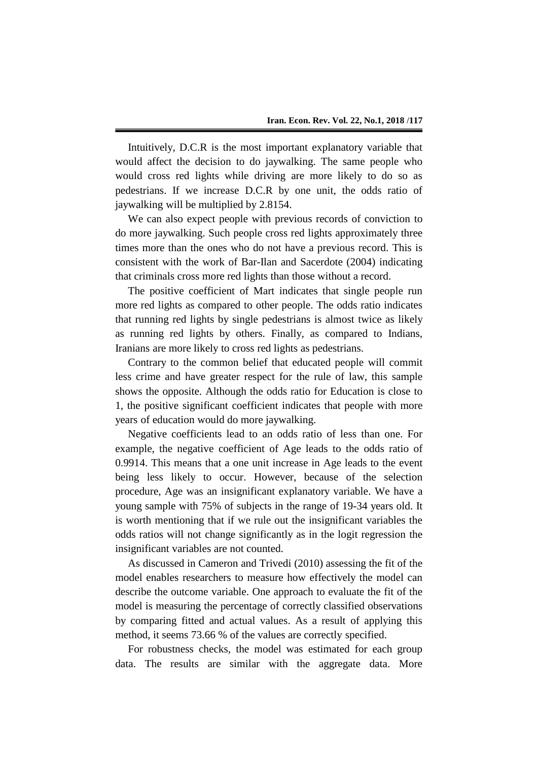Intuitively, D.C.R is the most important explanatory variable that would affect the decision to do jaywalking. The same people who would cross red lights while driving are more likely to do so as pedestrians. If we increase D.C.R by one unit, the odds ratio of jaywalking will be multiplied by 2.8154.

We can also expect people with previous records of conviction to do more jaywalking. Such people cross red lights approximately three times more than the ones who do not have a previous record. This is consistent with the work of Bar-Ilan and Sacerdote (2004) indicating that criminals cross more red lights than those without a record.

The positive coefficient of Mart indicates that single people run more red lights as compared to other people. The odds ratio indicates that running red lights by single pedestrians is almost twice as likely as running red lights by others. Finally, as compared to Indians, Iranians are more likely to cross red lights as pedestrians.

Contrary to the common belief that educated people will commit less crime and have greater respect for the rule of law, this sample shows the opposite. Although the odds ratio for Education is close to 1, the positive significant coefficient indicates that people with more years of education would do more jaywalking.

Negative coefficients lead to an odds ratio of less than one. For example, the negative coefficient of Age leads to the odds ratio of 0.9914. This means that a one unit increase in Age leads to the event being less likely to occur. However, because of the selection procedure, Age was an insignificant explanatory variable. We have a young sample with 75% of subjects in the range of 19-34 years old. It is worth mentioning that if we rule out the insignificant variables the odds ratios will not change significantly as in the logit regression the insignificant variables are not counted.

As discussed in Cameron and Trivedi (2010) assessing the fit of the model enables researchers to measure how effectively the model can describe the outcome variable. One approach to evaluate the fit of the model is measuring the percentage of correctly classified observations by comparing fitted and actual values. As a result of applying this method, it seems 73.66 % of the values are correctly specified.

For robustness checks, the model was estimated for each group data. The results are similar with the aggregate data. More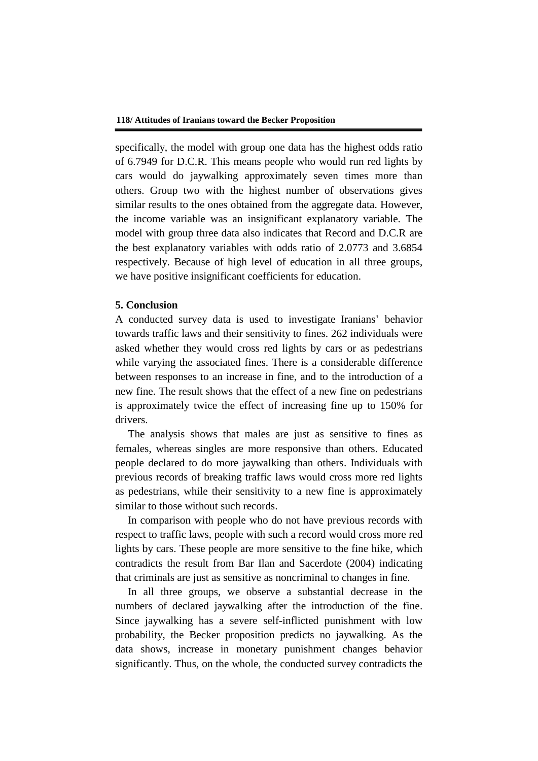specifically, the model with group one data has the highest odds ratio of 6.7949 for D.C.R. This means people who would run red lights by cars would do jaywalking approximately seven times more than others. Group two with the highest number of observations gives similar results to the ones obtained from the aggregate data. However, the income variable was an insignificant explanatory variable. The model with group three data also indicates that Record and D.C.R are the best explanatory variables with odds ratio of 2.0773 and 3.6854 respectively. Because of high level of education in all three groups, we have positive insignificant coefficients for education.

## **5. Conclusion**

A conducted survey data is used to investigate Iranians' behavior towards traffic laws and their sensitivity to fines. 262 individuals were asked whether they would cross red lights by cars or as pedestrians while varying the associated fines. There is a considerable difference between responses to an increase in fine, and to the introduction of a new fine. The result shows that the effect of a new fine on pedestrians is approximately twice the effect of increasing fine up to 150% for drivers.

The analysis shows that males are just as sensitive to fines as females, whereas singles are more responsive than others. Educated people declared to do more jaywalking than others. Individuals with previous records of breaking traffic laws would cross more red lights as pedestrians, while their sensitivity to a new fine is approximately similar to those without such records.

In comparison with people who do not have previous records with respect to traffic laws, people with such a record would cross more red lights by cars. These people are more sensitive to the fine hike, which contradicts the result from Bar Ilan and Sacerdote (2004) indicating that criminals are just as sensitive as noncriminal to changes in fine.

In all three groups, we observe a substantial decrease in the numbers of declared jaywalking after the introduction of the fine. Since jaywalking has a severe self-inflicted punishment with low probability, the Becker proposition predicts no jaywalking. As the data shows, increase in monetary punishment changes behavior significantly. Thus, on the whole, the conducted survey contradicts the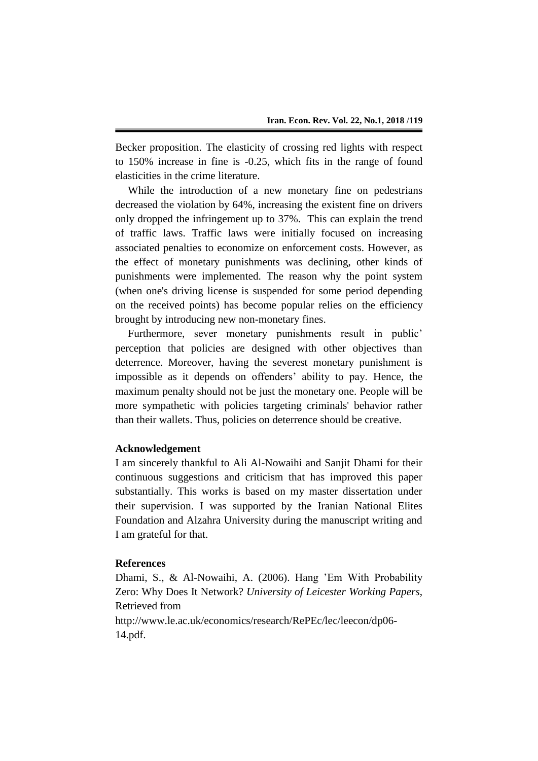Becker proposition. The elasticity of crossing red lights with respect to 150% increase in fine is -0.25, which fits in the range of found elasticities in the crime literature.

While the introduction of a new monetary fine on pedestrians decreased the violation by 64%, increasing the existent fine on drivers only dropped the infringement up to 37%. This can explain the trend of traffic laws. Traffic laws were initially focused on increasing associated penalties to economize on enforcement costs. However, as the effect of monetary punishments was declining, other kinds of punishments were implemented. The reason why the point system (when one's driving license is suspended for some period depending on the received points) has become popular relies on the efficiency brought by introducing new non-monetary fines.

Furthermore, sever monetary punishments result in public' perception that policies are designed with other objectives than deterrence. Moreover, having the severest monetary punishment is impossible as it depends on offenders' ability to pay. Hence, the maximum penalty should not be just the monetary one. People will be more sympathetic with policies targeting criminals' behavior rather than their wallets. Thus, policies on deterrence should be creative.

### **Acknowledgement**

I am sincerely thankful to Ali Al-Nowaihi and Sanjit Dhami for their continuous suggestions and criticism that has improved this paper substantially. This works is based on my master dissertation under their supervision. I was supported by the Iranian National Elites Foundation and Alzahra University during the manuscript writing and I am grateful for that.

## **References**

Dhami, S., & Al-Nowaihi, A. (2006). Hang 'Em With Probability Zero: Why Does It Network? *University of Leicester Working Papers*, Retrieved from

http://www.le.ac.uk/economics/research/RePEc/lec/leecon/dp06- 14.pdf.